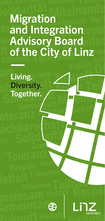# Migration and Integration Advisory Board of the City of Linz

Living. Diversity. Together.



\$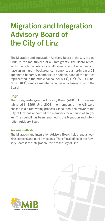### Migration and Integration Advisory Board of the City of Linz

The Migration and Integration Advisory Board of the City of Linz (MIB) is the mouthpiece of all immigrants. The Board represents the political interests of all citizens, who live in Linz and have an immigrant background. It comprises a maximum of 21 appointed honorary members. In addition, each of the parties represented in the municipal council (SPÖ, FPÖ, ÖVP, Grüne, NEOS, KPÖ) sends a member who has an advisory vote on the Board.

#### **Origin**

The Foreigner-Integration Advisory Board (AIB) of Linz was established in 1996. Until 2008, the members of the AIB were chosen in a direct voting process. Since then, the mayor of the City of Linz has appointed the members for a period of six years. The council has been renamed to the Migration and Integration Advisory Board.

#### Working methods

The Migration and Integration Advisory Board holds regular working sessions and public meetings. The official office of the Advisory Board is the Integration Office of the City of Linz.



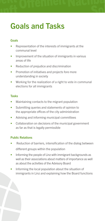# Goals and Tasks

### Goals

- Representation of the interests of immigrants at the communal level
- Improvement of the situation of immigrants in various areas of life
- Reduction of prejudice and discrimination
- Promotion of initiatives and projects fore more understanding in society
- Working for the realization of a right to vote in communal elections for all immigrants

#### Tasks

- Maintaining contacts to the migrant population
- Submitting queries and statements of opinion to the appropriate offices of the city administration
- Advising and informing municipal committees
- Collaboration on decisions of the municipal government as far as that is legally permissible

### Public Relations

- Reduction of barriers, intensification of the dialog between different groups within the population
- Informing the people of Linz with immigrant backgrounds as well as their associations about matters of importance as well as about the activities of the Advisory Board
- Informing the local population about the situation of immigrants in Linz and explaining how the Board functions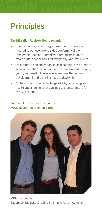# **Principles**

#### The Migration Advisory Board regards

- Integration as an enduring process. It is not merely a method to achieve an one-sided conformity of the immigrants. Instead, it employs targeted measures to attain equal opportunities for everybody who lives in Linz.
- Integration as an obligation of local politics in the areas of school/education, accommodations, employment, health, youth, culture etc. These involve matters that urban development and planning have to deal with.
- Cultural diversity as a challenge which, however, gives rise to opportunities that can lead to a better future for the City of Linz.

Further information can be found at: www.linz.at/integration/mib.php



MIB-chairpeople: Sabahudin Mujevic, Krisztina Balint und Adnan Abdullahi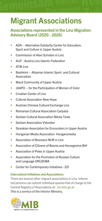# Migrant Associations

### Associations represented in the Linz Migration Advisory Board (2020 - 2026)

- [ADA Alternative Solidarity Center for Education,](www.adaoesterreich.at) Sport and Culture in Upper Austria
- [Commission of Alevi Scholars in Linz](https://www.facebook.com/Linz-Alevi-Gencler-Birligi-LAGB-205723369442444/)
- [ALIF Austria Linz Islamic Federation](https://www.alif.at/)
- ATIB Linz
- [Bashkimi Albanian Islamic Sport- and Cultural](https://www.facebook.com/Xhamia-Bashkimi-Linz-231326874395421/)  Association
- **[Black Community of Upper Austria](https://www.black-community.at/)**
- [JAAPO for the Participation of Women of Color](https://www.jaapo.at/)
- [Croatian Center of Linz](https://www.facebook.com/hrvatskicentarlinz/)
- [Cultural Association New Hope](http://neuehoffnung.at/)
- Austrian Chinese Cultural Exchange Linz
- [Romanian Cultural Association Carpatia](https://www.facebook.com/Rum%C3%A4nischer-Kulturverein-Carpatia-Asociatia-Culturala-Carpatia-227865614341943/)
- [Serbian Cultural Association Nikola Tesla](https://www.facebook.com/NikolaTeslaLinz)
- [Serbian Association Vidovdan](https://www.facebook.com/Srpski-Klub-Vidovdan-400413510139093/)
- Slovakian Association for Encounters in Upper Austria
- [Hungarian Media Association Hungaromedia](https://www.facebook.com/HungaroStudio/)
- [Association of Bosnians NUR in Linz](http://www.nur-linz.com)
- [Association of Citizens of Bosnia and Herzegovina BiH](https://www.facebook.com/VdBvBiHLinz/)
- [Association of Poles in Upper Austria](www.polonialinz.com)
- [Association for the Promotion of Russian Culture](www.shkola.at) and Language DRUZHBA
- [Center for Contemporary Initiatives ZZI](https://www.facebook.com/groups/63540634632/)

#### Intercultural Initiatives and Associations:

There are several other migrant associations in Linz. Interested persons can submit individual queries free of charge to the Central Registry of Associations at: zvr.bmi.gv.at This is a service of the Interior Ministry.